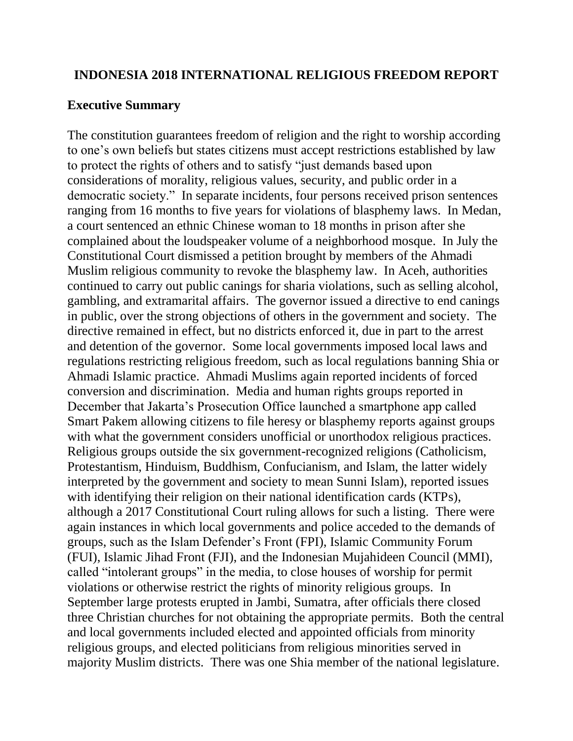#### **INDONESIA 2018 INTERNATIONAL RELIGIOUS FREEDOM REPORT**

#### **Executive Summary**

The constitution guarantees freedom of religion and the right to worship according to one's own beliefs but states citizens must accept restrictions established by law to protect the rights of others and to satisfy "just demands based upon considerations of morality, religious values, security, and public order in a democratic society." In separate incidents, four persons received prison sentences ranging from 16 months to five years for violations of blasphemy laws. In Medan, a court sentenced an ethnic Chinese woman to 18 months in prison after she complained about the loudspeaker volume of a neighborhood mosque. In July the Constitutional Court dismissed a petition brought by members of the Ahmadi Muslim religious community to revoke the blasphemy law. In Aceh, authorities continued to carry out public canings for sharia violations, such as selling alcohol, gambling, and extramarital affairs. The governor issued a directive to end canings in public, over the strong objections of others in the government and society. The directive remained in effect, but no districts enforced it, due in part to the arrest and detention of the governor. Some local governments imposed local laws and regulations restricting religious freedom, such as local regulations banning Shia or Ahmadi Islamic practice. Ahmadi Muslims again reported incidents of forced conversion and discrimination. Media and human rights groups reported in December that Jakarta's Prosecution Office launched a smartphone app called Smart Pakem allowing citizens to file heresy or blasphemy reports against groups with what the government considers unofficial or unorthodox religious practices. Religious groups outside the six government-recognized religions (Catholicism, Protestantism, Hinduism, Buddhism, Confucianism, and Islam, the latter widely interpreted by the government and society to mean Sunni Islam), reported issues with identifying their religion on their national identification cards (KTPs), although a 2017 Constitutional Court ruling allows for such a listing. There were again instances in which local governments and police acceded to the demands of groups, such as the Islam Defender's Front (FPI), Islamic Community Forum (FUI), Islamic Jihad Front (FJI), and the Indonesian Mujahideen Council (MMI), called "intolerant groups" in the media, to close houses of worship for permit violations or otherwise restrict the rights of minority religious groups. In September large protests erupted in Jambi, Sumatra, after officials there closed three Christian churches for not obtaining the appropriate permits. Both the central and local governments included elected and appointed officials from minority religious groups, and elected politicians from religious minorities served in majority Muslim districts. There was one Shia member of the national legislature.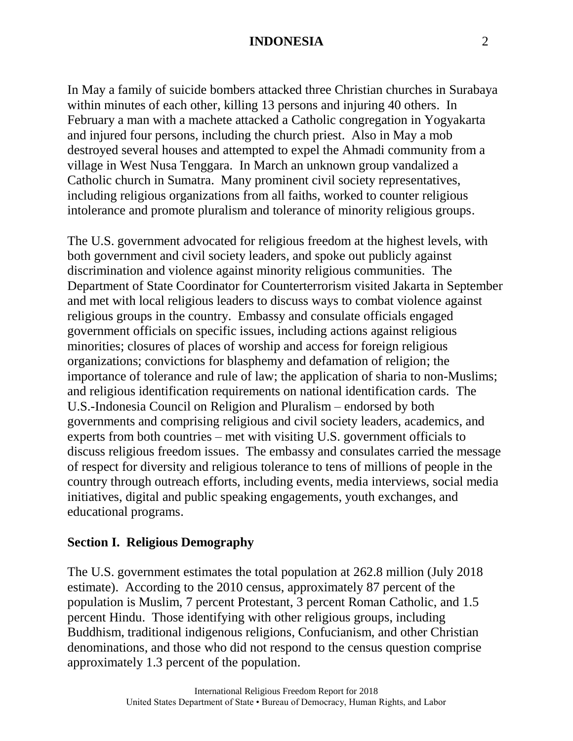In May a family of suicide bombers attacked three Christian churches in Surabaya within minutes of each other, killing 13 persons and injuring 40 others. In February a man with a machete attacked a Catholic congregation in Yogyakarta and injured four persons, including the church priest. Also in May a mob destroyed several houses and attempted to expel the Ahmadi community from a village in West Nusa Tenggara. In March an unknown group vandalized a Catholic church in Sumatra. Many prominent civil society representatives, including religious organizations from all faiths, worked to counter religious intolerance and promote pluralism and tolerance of minority religious groups.

The U.S. government advocated for religious freedom at the highest levels, with both government and civil society leaders, and spoke out publicly against discrimination and violence against minority religious communities. The Department of State Coordinator for Counterterrorism visited Jakarta in September and met with local religious leaders to discuss ways to combat violence against religious groups in the country. Embassy and consulate officials engaged government officials on specific issues, including actions against religious minorities; closures of places of worship and access for foreign religious organizations; convictions for blasphemy and defamation of religion; the importance of tolerance and rule of law; the application of sharia to non-Muslims; and religious identification requirements on national identification cards. The U.S.-Indonesia Council on Religion and Pluralism – endorsed by both governments and comprising religious and civil society leaders, academics, and experts from both countries – met with visiting U.S. government officials to discuss religious freedom issues. The embassy and consulates carried the message of respect for diversity and religious tolerance to tens of millions of people in the country through outreach efforts, including events, media interviews, social media initiatives, digital and public speaking engagements, youth exchanges, and educational programs.

# **Section I. Religious Demography**

The U.S. government estimates the total population at 262.8 million (July 2018 estimate). According to the 2010 census, approximately 87 percent of the population is Muslim, 7 percent Protestant, 3 percent Roman Catholic, and 1.5 percent Hindu. Those identifying with other religious groups, including Buddhism, traditional indigenous religions, Confucianism, and other Christian denominations, and those who did not respond to the census question comprise approximately 1.3 percent of the population.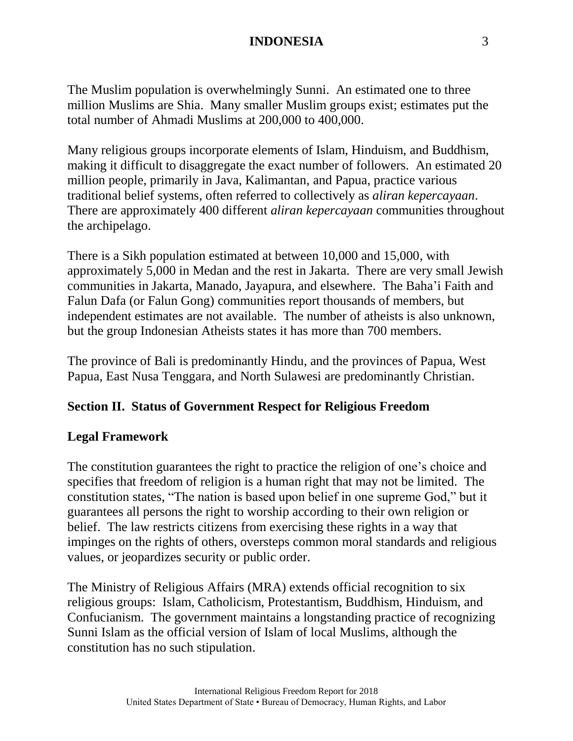The Muslim population is overwhelmingly Sunni. An estimated one to three million Muslims are Shia. Many smaller Muslim groups exist; estimates put the total number of Ahmadi Muslims at 200,000 to 400,000.

Many religious groups incorporate elements of Islam, Hinduism, and Buddhism, making it difficult to disaggregate the exact number of followers. An estimated 20 million people, primarily in Java, Kalimantan, and Papua, practice various traditional belief systems, often referred to collectively as *aliran kepercayaan*. There are approximately 400 different *aliran kepercayaan* communities throughout the archipelago.

There is a Sikh population estimated at between 10,000 and 15,000, with approximately 5,000 in Medan and the rest in Jakarta. There are very small Jewish communities in Jakarta, Manado, Jayapura, and elsewhere. The Baha'i Faith and Falun Dafa (or Falun Gong) communities report thousands of members, but independent estimates are not available. The number of atheists is also unknown, but the group Indonesian Atheists states it has more than 700 members.

The province of Bali is predominantly Hindu, and the provinces of Papua, West Papua, East Nusa Tenggara, and North Sulawesi are predominantly Christian.

# **Section II. Status of Government Respect for Religious Freedom**

## **Legal Framework**

The constitution guarantees the right to practice the religion of one's choice and specifies that freedom of religion is a human right that may not be limited. The constitution states, "The nation is based upon belief in one supreme God," but it guarantees all persons the right to worship according to their own religion or belief. The law restricts citizens from exercising these rights in a way that impinges on the rights of others, oversteps common moral standards and religious values, or jeopardizes security or public order.

The Ministry of Religious Affairs (MRA) extends official recognition to six religious groups: Islam, Catholicism, Protestantism, Buddhism, Hinduism, and Confucianism. The government maintains a longstanding practice of recognizing Sunni Islam as the official version of Islam of local Muslims, although the constitution has no such stipulation.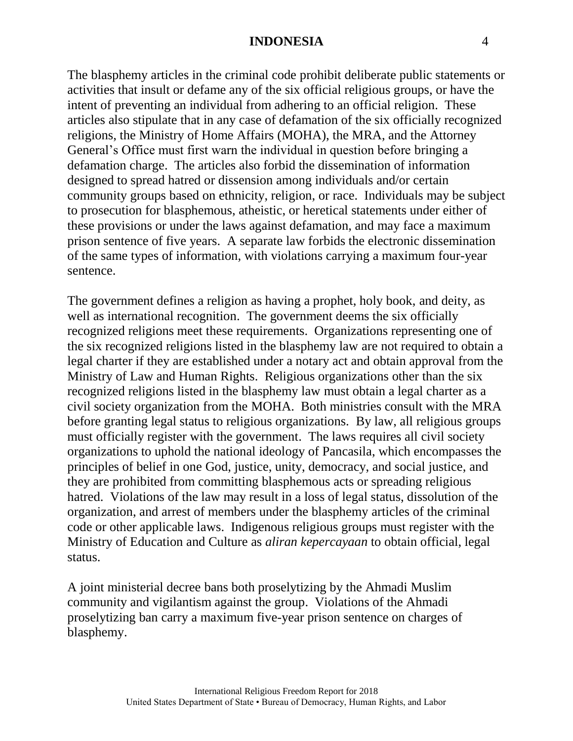The blasphemy articles in the criminal code prohibit deliberate public statements or activities that insult or defame any of the six official religious groups, or have the intent of preventing an individual from adhering to an official religion. These articles also stipulate that in any case of defamation of the six officially recognized religions, the Ministry of Home Affairs (MOHA), the MRA, and the Attorney General's Office must first warn the individual in question before bringing a defamation charge. The articles also forbid the dissemination of information designed to spread hatred or dissension among individuals and/or certain community groups based on ethnicity, religion, or race. Individuals may be subject to prosecution for blasphemous, atheistic, or heretical statements under either of these provisions or under the laws against defamation, and may face a maximum prison sentence of five years. A separate law forbids the electronic dissemination of the same types of information, with violations carrying a maximum four-year sentence.

The government defines a religion as having a prophet, holy book, and deity, as well as international recognition. The government deems the six officially recognized religions meet these requirements. Organizations representing one of the six recognized religions listed in the blasphemy law are not required to obtain a legal charter if they are established under a notary act and obtain approval from the Ministry of Law and Human Rights. Religious organizations other than the six recognized religions listed in the blasphemy law must obtain a legal charter as a civil society organization from the MOHA. Both ministries consult with the MRA before granting legal status to religious organizations. By law, all religious groups must officially register with the government. The laws requires all civil society organizations to uphold the national ideology of Pancasila, which encompasses the principles of belief in one God, justice, unity, democracy, and social justice, and they are prohibited from committing blasphemous acts or spreading religious hatred. Violations of the law may result in a loss of legal status, dissolution of the organization, and arrest of members under the blasphemy articles of the criminal code or other applicable laws. Indigenous religious groups must register with the Ministry of Education and Culture as *aliran kepercayaan* to obtain official, legal status.

A joint ministerial decree bans both proselytizing by the Ahmadi Muslim community and vigilantism against the group. Violations of the Ahmadi proselytizing ban carry a maximum five-year prison sentence on charges of blasphemy.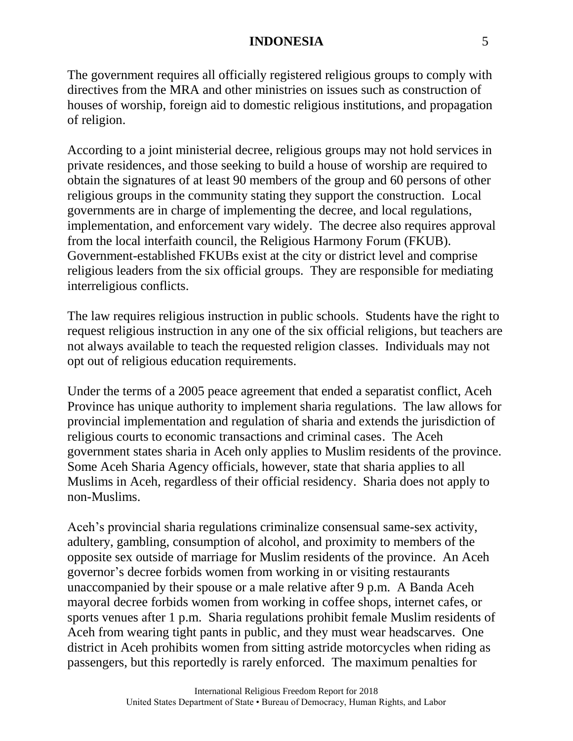The government requires all officially registered religious groups to comply with directives from the MRA and other ministries on issues such as construction of houses of worship, foreign aid to domestic religious institutions, and propagation of religion.

According to a joint ministerial decree, religious groups may not hold services in private residences, and those seeking to build a house of worship are required to obtain the signatures of at least 90 members of the group and 60 persons of other religious groups in the community stating they support the construction. Local governments are in charge of implementing the decree, and local regulations, implementation, and enforcement vary widely. The decree also requires approval from the local interfaith council, the Religious Harmony Forum (FKUB). Government-established FKUBs exist at the city or district level and comprise religious leaders from the six official groups. They are responsible for mediating interreligious conflicts.

The law requires religious instruction in public schools. Students have the right to request religious instruction in any one of the six official religions, but teachers are not always available to teach the requested religion classes. Individuals may not opt out of religious education requirements.

Under the terms of a 2005 peace agreement that ended a separatist conflict, Aceh Province has unique authority to implement sharia regulations. The law allows for provincial implementation and regulation of sharia and extends the jurisdiction of religious courts to economic transactions and criminal cases. The Aceh government states sharia in Aceh only applies to Muslim residents of the province. Some Aceh Sharia Agency officials, however, state that sharia applies to all Muslims in Aceh, regardless of their official residency. Sharia does not apply to non-Muslims.

Aceh's provincial sharia regulations criminalize consensual same-sex activity, adultery, gambling, consumption of alcohol, and proximity to members of the opposite sex outside of marriage for Muslim residents of the province. An Aceh governor's decree forbids women from working in or visiting restaurants unaccompanied by their spouse or a male relative after 9 p.m. A Banda Aceh mayoral decree forbids women from working in coffee shops, internet cafes, or sports venues after 1 p.m. Sharia regulations prohibit female Muslim residents of Aceh from wearing tight pants in public, and they must wear headscarves. One district in Aceh prohibits women from sitting astride motorcycles when riding as passengers, but this reportedly is rarely enforced. The maximum penalties for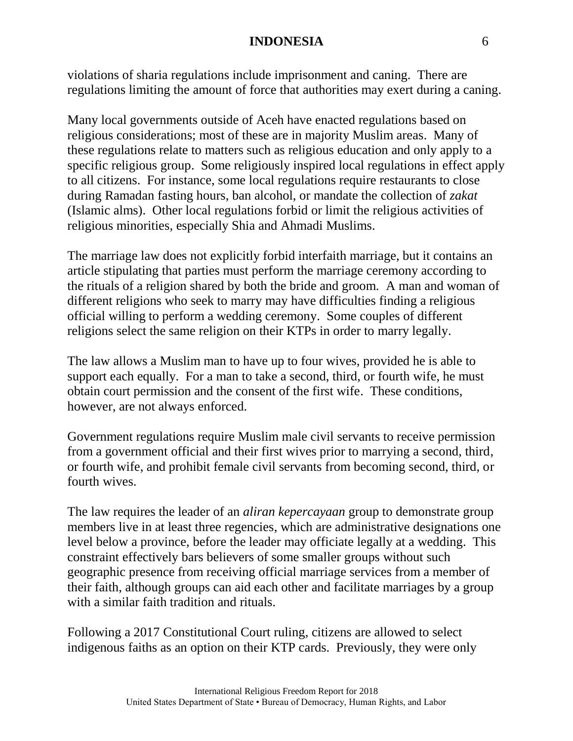violations of sharia regulations include imprisonment and caning. There are regulations limiting the amount of force that authorities may exert during a caning.

Many local governments outside of Aceh have enacted regulations based on religious considerations; most of these are in majority Muslim areas. Many of these regulations relate to matters such as religious education and only apply to a specific religious group. Some religiously inspired local regulations in effect apply to all citizens. For instance, some local regulations require restaurants to close during Ramadan fasting hours, ban alcohol, or mandate the collection of *zakat* (Islamic alms). Other local regulations forbid or limit the religious activities of religious minorities, especially Shia and Ahmadi Muslims.

The marriage law does not explicitly forbid interfaith marriage, but it contains an article stipulating that parties must perform the marriage ceremony according to the rituals of a religion shared by both the bride and groom. A man and woman of different religions who seek to marry may have difficulties finding a religious official willing to perform a wedding ceremony. Some couples of different religions select the same religion on their KTPs in order to marry legally.

The law allows a Muslim man to have up to four wives, provided he is able to support each equally. For a man to take a second, third, or fourth wife, he must obtain court permission and the consent of the first wife. These conditions, however, are not always enforced.

Government regulations require Muslim male civil servants to receive permission from a government official and their first wives prior to marrying a second, third, or fourth wife, and prohibit female civil servants from becoming second, third, or fourth wives.

The law requires the leader of an *aliran kepercayaan* group to demonstrate group members live in at least three regencies, which are administrative designations one level below a province, before the leader may officiate legally at a wedding. This constraint effectively bars believers of some smaller groups without such geographic presence from receiving official marriage services from a member of their faith, although groups can aid each other and facilitate marriages by a group with a similar faith tradition and rituals.

Following a 2017 Constitutional Court ruling, citizens are allowed to select indigenous faiths as an option on their KTP cards. Previously, they were only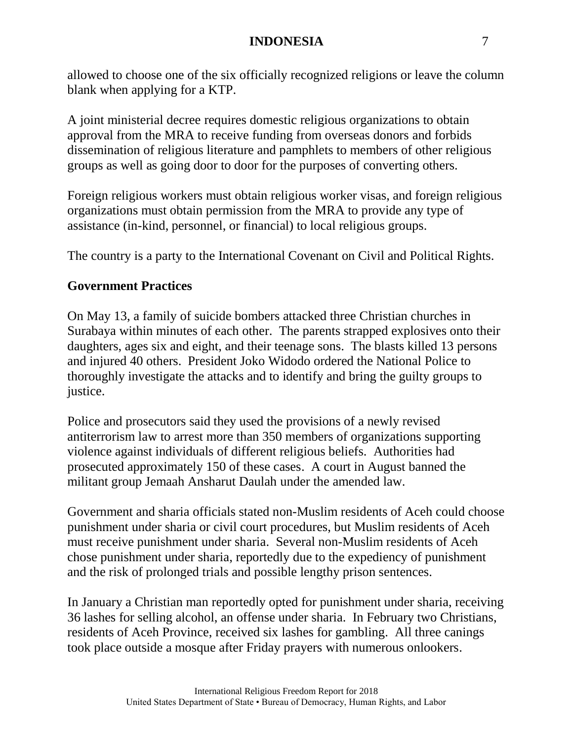allowed to choose one of the six officially recognized religions or leave the column blank when applying for a KTP.

A joint ministerial decree requires domestic religious organizations to obtain approval from the MRA to receive funding from overseas donors and forbids dissemination of religious literature and pamphlets to members of other religious groups as well as going door to door for the purposes of converting others.

Foreign religious workers must obtain religious worker visas, and foreign religious organizations must obtain permission from the MRA to provide any type of assistance (in-kind, personnel, or financial) to local religious groups.

The country is a party to the International Covenant on Civil and Political Rights.

# **Government Practices**

On May 13, a family of suicide bombers attacked three Christian churches in Surabaya within minutes of each other. The parents strapped explosives onto their daughters, ages six and eight, and their teenage sons. The blasts killed 13 persons and injured 40 others. President Joko Widodo ordered the National Police to thoroughly investigate the attacks and to identify and bring the guilty groups to justice.

Police and prosecutors said they used the provisions of a newly revised antiterrorism law to arrest more than 350 members of organizations supporting violence against individuals of different religious beliefs. Authorities had prosecuted approximately 150 of these cases. A court in August banned the militant group Jemaah Ansharut Daulah under the amended law.

Government and sharia officials stated non-Muslim residents of Aceh could choose punishment under sharia or civil court procedures, but Muslim residents of Aceh must receive punishment under sharia. Several non-Muslim residents of Aceh chose punishment under sharia, reportedly due to the expediency of punishment and the risk of prolonged trials and possible lengthy prison sentences.

In January a Christian man reportedly opted for punishment under sharia, receiving 36 lashes for selling alcohol, an offense under sharia. In February two Christians, residents of Aceh Province, received six lashes for gambling. All three canings took place outside a mosque after Friday prayers with numerous onlookers.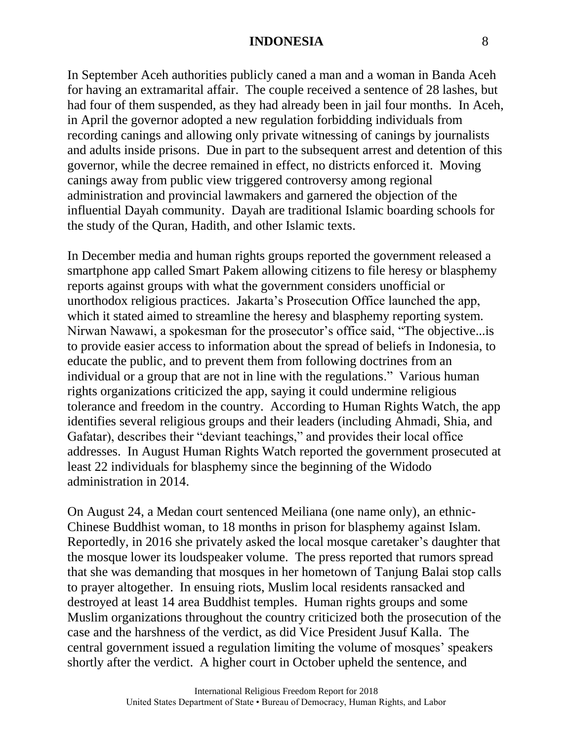In September Aceh authorities publicly caned a man and a woman in Banda Aceh for having an extramarital affair. The couple received a sentence of 28 lashes, but had four of them suspended, as they had already been in jail four months. In Aceh, in April the governor adopted a new regulation forbidding individuals from recording canings and allowing only private witnessing of canings by journalists and adults inside prisons. Due in part to the subsequent arrest and detention of this governor, while the decree remained in effect, no districts enforced it. Moving canings away from public view triggered controversy among regional administration and provincial lawmakers and garnered the objection of the influential Dayah community. Dayah are traditional Islamic boarding schools for the study of the Quran, Hadith, and other Islamic texts.

In December media and human rights groups reported the government released a smartphone app called Smart Pakem allowing citizens to file heresy or blasphemy reports against groups with what the government considers unofficial or unorthodox religious practices. Jakarta's Prosecution Office launched the app, which it stated aimed to streamline the heresy and blasphemy reporting system. Nirwan Nawawi, a spokesman for the prosecutor's office said, "The objective...is to provide easier access to information about the spread of beliefs in Indonesia, to educate the public, and to prevent them from following doctrines from an individual or a group that are not in line with the regulations." Various human rights organizations criticized the app, saying it could undermine religious tolerance and freedom in the country. According to Human Rights Watch, the app identifies several religious groups and their leaders (including Ahmadi, Shia, and Gafatar), describes their "deviant teachings," and provides their local office addresses. In August Human Rights Watch reported the government prosecuted at least 22 individuals for blasphemy since the beginning of the Widodo administration in 2014.

On August 24, a Medan court sentenced Meiliana (one name only), an ethnic-Chinese Buddhist woman, to 18 months in prison for blasphemy against Islam. Reportedly, in 2016 she privately asked the local mosque caretaker's daughter that the mosque lower its loudspeaker volume. The press reported that rumors spread that she was demanding that mosques in her hometown of Tanjung Balai stop calls to prayer altogether. In ensuing riots, Muslim local residents ransacked and destroyed at least 14 area Buddhist temples. Human rights groups and some Muslim organizations throughout the country criticized both the prosecution of the case and the harshness of the verdict, as did Vice President Jusuf Kalla. The central government issued a regulation limiting the volume of mosques' speakers shortly after the verdict. A higher court in October upheld the sentence, and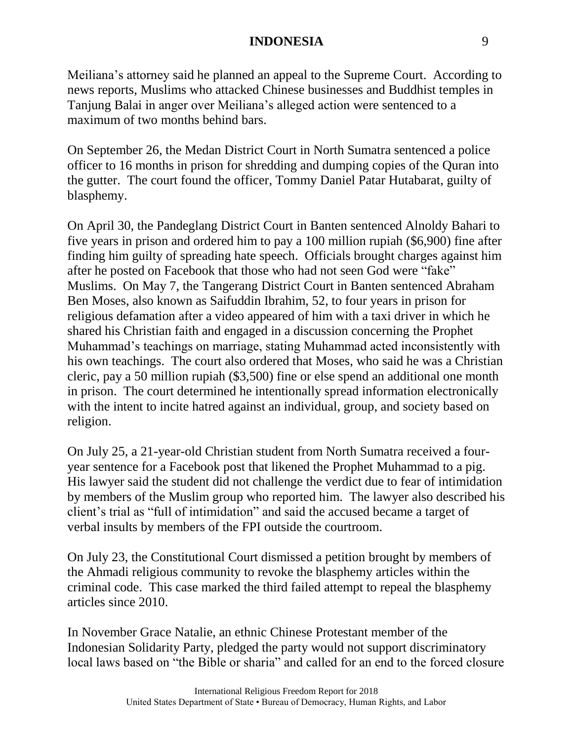Meiliana's attorney said he planned an appeal to the Supreme Court. According to news reports, Muslims who attacked Chinese businesses and Buddhist temples in Tanjung Balai in anger over Meiliana's alleged action were sentenced to a maximum of two months behind bars.

On September 26, the Medan District Court in North Sumatra sentenced a police officer to 16 months in prison for shredding and dumping copies of the Quran into the gutter. The court found the officer, Tommy Daniel Patar Hutabarat, guilty of blasphemy.

On April 30, the Pandeglang District Court in Banten sentenced Alnoldy Bahari to five years in prison and ordered him to pay a 100 million rupiah (\$6,900) fine after finding him guilty of spreading hate speech. Officials brought charges against him after he posted on Facebook that those who had not seen God were "fake" Muslims. On May 7, the Tangerang District Court in Banten sentenced Abraham Ben Moses, also known as Saifuddin Ibrahim, 52, to four years in prison for religious defamation after a video appeared of him with a taxi driver in which he shared his Christian faith and engaged in a discussion concerning the Prophet Muhammad's teachings on marriage, stating Muhammad acted inconsistently with his own teachings. The court also ordered that Moses, who said he was a Christian cleric, pay a 50 million rupiah (\$3,500) fine or else spend an additional one month in prison. The court determined he intentionally spread information electronically with the intent to incite hatred against an individual, group, and society based on religion.

On July 25, a 21-year-old Christian student from North Sumatra received a fouryear sentence for a Facebook post that likened the Prophet Muhammad to a pig. His lawyer said the student did not challenge the verdict due to fear of intimidation by members of the Muslim group who reported him. The lawyer also described his client's trial as "full of intimidation" and said the accused became a target of verbal insults by members of the FPI outside the courtroom.

On July 23, the Constitutional Court dismissed a petition brought by members of the Ahmadi religious community to revoke the blasphemy articles within the criminal code. This case marked the third failed attempt to repeal the blasphemy articles since 2010.

In November Grace Natalie, an ethnic Chinese Protestant member of the Indonesian Solidarity Party, pledged the party would not support discriminatory local laws based on "the Bible or sharia" and called for an end to the forced closure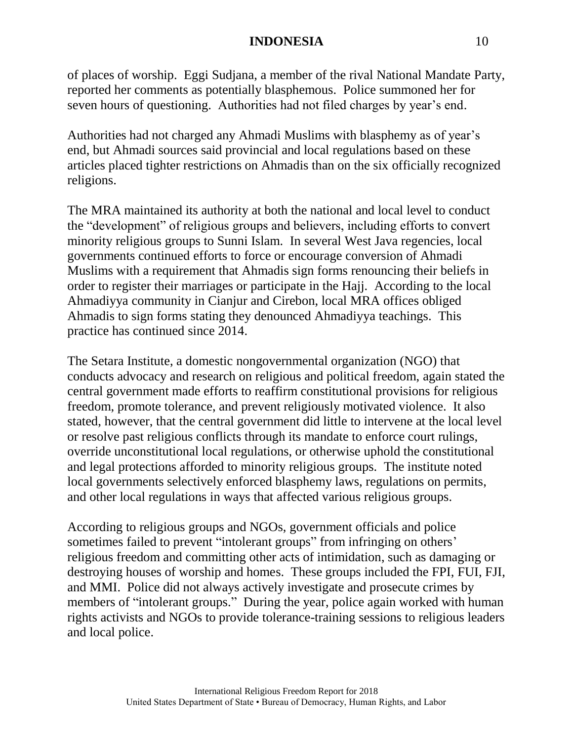of places of worship. Eggi Sudjana, a member of the rival National Mandate Party, reported her comments as potentially blasphemous. Police summoned her for seven hours of questioning. Authorities had not filed charges by year's end.

Authorities had not charged any Ahmadi Muslims with blasphemy as of year's end, but Ahmadi sources said provincial and local regulations based on these articles placed tighter restrictions on Ahmadis than on the six officially recognized religions.

The MRA maintained its authority at both the national and local level to conduct the "development" of religious groups and believers, including efforts to convert minority religious groups to Sunni Islam. In several West Java regencies, local governments continued efforts to force or encourage conversion of Ahmadi Muslims with a requirement that Ahmadis sign forms renouncing their beliefs in order to register their marriages or participate in the Hajj. According to the local Ahmadiyya community in Cianjur and Cirebon, local MRA offices obliged Ahmadis to sign forms stating they denounced Ahmadiyya teachings. This practice has continued since 2014.

The Setara Institute, a domestic nongovernmental organization (NGO) that conducts advocacy and research on religious and political freedom, again stated the central government made efforts to reaffirm constitutional provisions for religious freedom, promote tolerance, and prevent religiously motivated violence. It also stated, however, that the central government did little to intervene at the local level or resolve past religious conflicts through its mandate to enforce court rulings, override unconstitutional local regulations, or otherwise uphold the constitutional and legal protections afforded to minority religious groups. The institute noted local governments selectively enforced blasphemy laws, regulations on permits, and other local regulations in ways that affected various religious groups.

According to religious groups and NGOs, government officials and police sometimes failed to prevent "intolerant groups" from infringing on others' religious freedom and committing other acts of intimidation, such as damaging or destroying houses of worship and homes. These groups included the FPI, FUI, FJI, and MMI. Police did not always actively investigate and prosecute crimes by members of "intolerant groups." During the year, police again worked with human rights activists and NGOs to provide tolerance-training sessions to religious leaders and local police.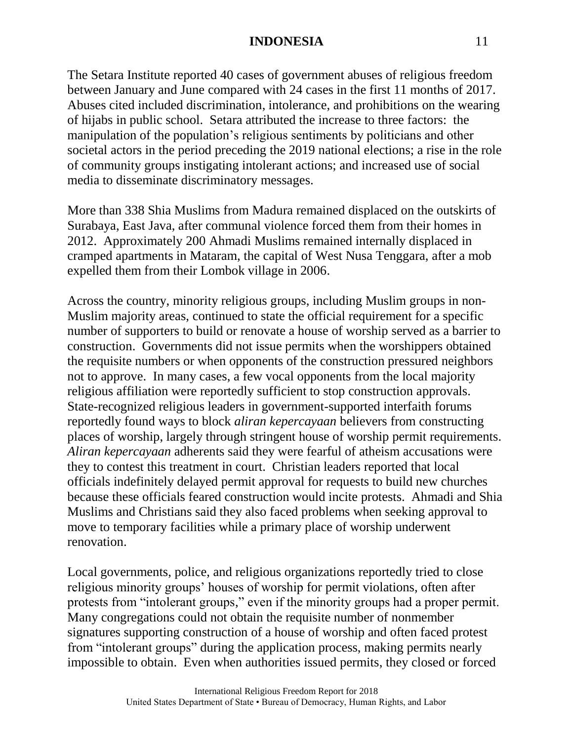The Setara Institute reported 40 cases of government abuses of religious freedom between January and June compared with 24 cases in the first 11 months of 2017. Abuses cited included discrimination, intolerance, and prohibitions on the wearing of hijabs in public school. Setara attributed the increase to three factors: the manipulation of the population's religious sentiments by politicians and other societal actors in the period preceding the 2019 national elections; a rise in the role of community groups instigating intolerant actions; and increased use of social media to disseminate discriminatory messages.

More than 338 Shia Muslims from Madura remained displaced on the outskirts of Surabaya, East Java, after communal violence forced them from their homes in 2012. Approximately 200 Ahmadi Muslims remained internally displaced in cramped apartments in Mataram, the capital of West Nusa Tenggara, after a mob expelled them from their Lombok village in 2006.

Across the country, minority religious groups, including Muslim groups in non-Muslim majority areas, continued to state the official requirement for a specific number of supporters to build or renovate a house of worship served as a barrier to construction. Governments did not issue permits when the worshippers obtained the requisite numbers or when opponents of the construction pressured neighbors not to approve. In many cases, a few vocal opponents from the local majority religious affiliation were reportedly sufficient to stop construction approvals. State-recognized religious leaders in government-supported interfaith forums reportedly found ways to block *aliran kepercayaan* believers from constructing places of worship, largely through stringent house of worship permit requirements. *Aliran kepercayaan* adherents said they were fearful of atheism accusations were they to contest this treatment in court. Christian leaders reported that local officials indefinitely delayed permit approval for requests to build new churches because these officials feared construction would incite protests. Ahmadi and Shia Muslims and Christians said they also faced problems when seeking approval to move to temporary facilities while a primary place of worship underwent renovation.

Local governments, police, and religious organizations reportedly tried to close religious minority groups' houses of worship for permit violations, often after protests from "intolerant groups," even if the minority groups had a proper permit. Many congregations could not obtain the requisite number of nonmember signatures supporting construction of a house of worship and often faced protest from "intolerant groups" during the application process, making permits nearly impossible to obtain. Even when authorities issued permits, they closed or forced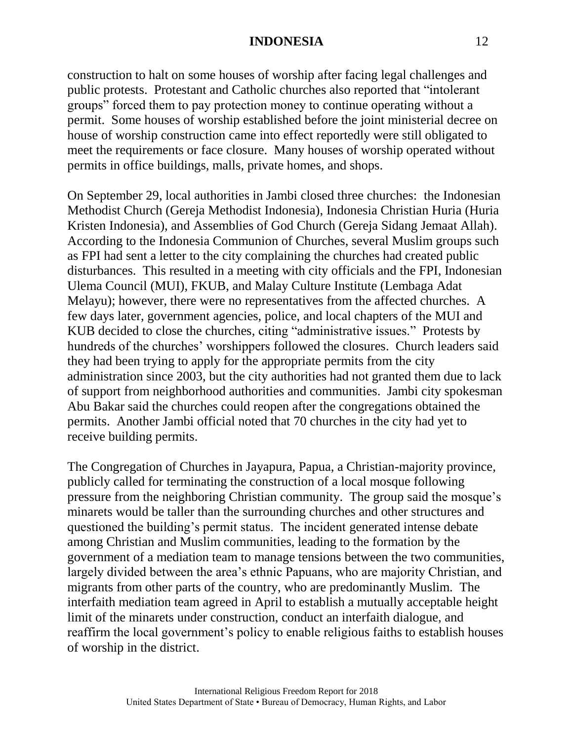construction to halt on some houses of worship after facing legal challenges and public protests. Protestant and Catholic churches also reported that "intolerant groups" forced them to pay protection money to continue operating without a permit. Some houses of worship established before the joint ministerial decree on house of worship construction came into effect reportedly were still obligated to meet the requirements or face closure. Many houses of worship operated without permits in office buildings, malls, private homes, and shops.

On September 29, local authorities in Jambi closed three churches: the Indonesian Methodist Church (Gereja Methodist Indonesia), Indonesia Christian Huria (Huria Kristen Indonesia), and Assemblies of God Church (Gereja Sidang Jemaat Allah). According to the Indonesia Communion of Churches, several Muslim groups such as FPI had sent a letter to the city complaining the churches had created public disturbances. This resulted in a meeting with city officials and the FPI, Indonesian Ulema Council (MUI), FKUB, and Malay Culture Institute (Lembaga Adat Melayu); however, there were no representatives from the affected churches. A few days later, government agencies, police, and local chapters of the MUI and KUB decided to close the churches, citing "administrative issues." Protests by hundreds of the churches' worshippers followed the closures. Church leaders said they had been trying to apply for the appropriate permits from the city administration since 2003, but the city authorities had not granted them due to lack of support from neighborhood authorities and communities. Jambi city spokesman Abu Bakar said the churches could reopen after the congregations obtained the permits. Another Jambi official noted that 70 churches in the city had yet to receive building permits.

The Congregation of Churches in Jayapura, Papua, a Christian-majority province, publicly called for terminating the construction of a local mosque following pressure from the neighboring Christian community. The group said the mosque's minarets would be taller than the surrounding churches and other structures and questioned the building's permit status. The incident generated intense debate among Christian and Muslim communities, leading to the formation by the government of a mediation team to manage tensions between the two communities, largely divided between the area's ethnic Papuans, who are majority Christian, and migrants from other parts of the country, who are predominantly Muslim. The interfaith mediation team agreed in April to establish a mutually acceptable height limit of the minarets under construction, conduct an interfaith dialogue, and reaffirm the local government's policy to enable religious faiths to establish houses of worship in the district.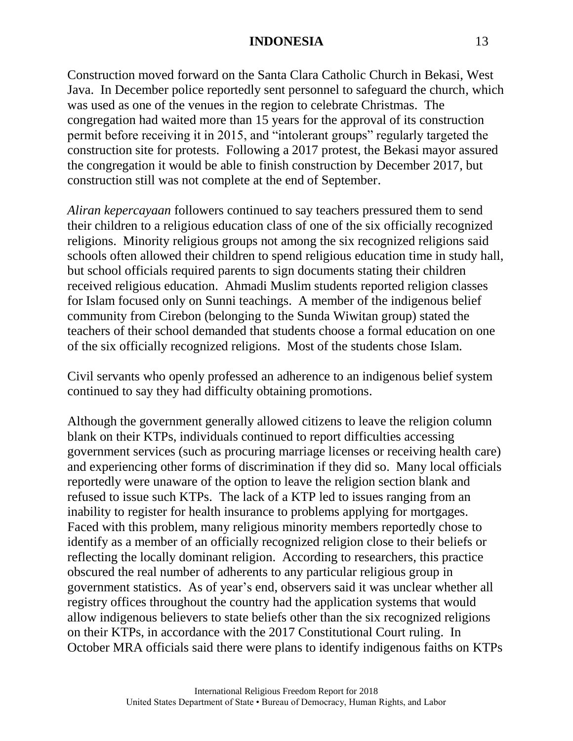Construction moved forward on the Santa Clara Catholic Church in Bekasi, West Java. In December police reportedly sent personnel to safeguard the church, which was used as one of the venues in the region to celebrate Christmas. The congregation had waited more than 15 years for the approval of its construction permit before receiving it in 2015, and "intolerant groups" regularly targeted the construction site for protests. Following a 2017 protest, the Bekasi mayor assured the congregation it would be able to finish construction by December 2017, but construction still was not complete at the end of September.

*Aliran kepercayaan* followers continued to say teachers pressured them to send their children to a religious education class of one of the six officially recognized religions. Minority religious groups not among the six recognized religions said schools often allowed their children to spend religious education time in study hall, but school officials required parents to sign documents stating their children received religious education. Ahmadi Muslim students reported religion classes for Islam focused only on Sunni teachings. A member of the indigenous belief community from Cirebon (belonging to the Sunda Wiwitan group) stated the teachers of their school demanded that students choose a formal education on one of the six officially recognized religions. Most of the students chose Islam.

Civil servants who openly professed an adherence to an indigenous belief system continued to say they had difficulty obtaining promotions.

Although the government generally allowed citizens to leave the religion column blank on their KTPs, individuals continued to report difficulties accessing government services (such as procuring marriage licenses or receiving health care) and experiencing other forms of discrimination if they did so. Many local officials reportedly were unaware of the option to leave the religion section blank and refused to issue such KTPs. The lack of a KTP led to issues ranging from an inability to register for health insurance to problems applying for mortgages. Faced with this problem, many religious minority members reportedly chose to identify as a member of an officially recognized religion close to their beliefs or reflecting the locally dominant religion. According to researchers, this practice obscured the real number of adherents to any particular religious group in government statistics. As of year's end, observers said it was unclear whether all registry offices throughout the country had the application systems that would allow indigenous believers to state beliefs other than the six recognized religions on their KTPs, in accordance with the 2017 Constitutional Court ruling. In October MRA officials said there were plans to identify indigenous faiths on KTPs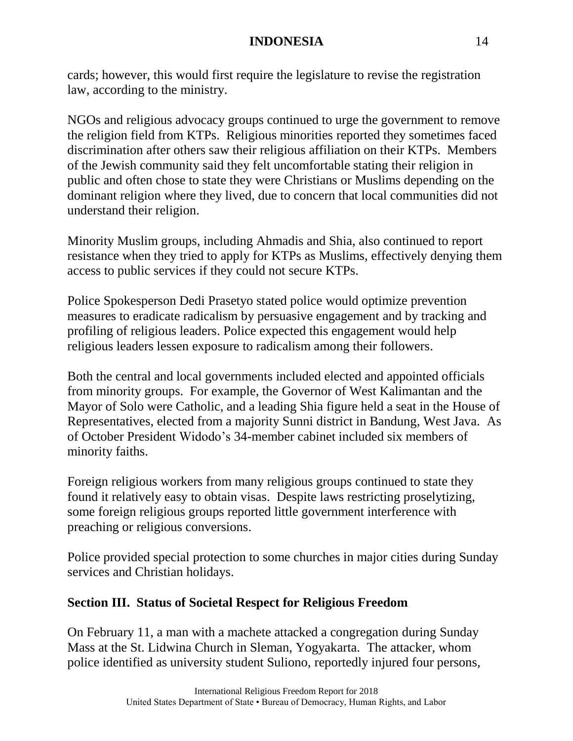cards; however, this would first require the legislature to revise the registration law, according to the ministry.

NGOs and religious advocacy groups continued to urge the government to remove the religion field from KTPs. Religious minorities reported they sometimes faced discrimination after others saw their religious affiliation on their KTPs. Members of the Jewish community said they felt uncomfortable stating their religion in public and often chose to state they were Christians or Muslims depending on the dominant religion where they lived, due to concern that local communities did not understand their religion.

Minority Muslim groups, including Ahmadis and Shia, also continued to report resistance when they tried to apply for KTPs as Muslims, effectively denying them access to public services if they could not secure KTPs.

Police Spokesperson Dedi Prasetyo stated police would optimize prevention measures to eradicate radicalism by persuasive engagement and by tracking and profiling of religious leaders. Police expected this engagement would help religious leaders lessen exposure to radicalism among their followers.

Both the central and local governments included elected and appointed officials from minority groups. For example, the Governor of West Kalimantan and the Mayor of Solo were Catholic, and a leading Shia figure held a seat in the House of Representatives, elected from a majority Sunni district in Bandung, West Java. As of October President Widodo's 34-member cabinet included six members of minority faiths.

Foreign religious workers from many religious groups continued to state they found it relatively easy to obtain visas. Despite laws restricting proselytizing, some foreign religious groups reported little government interference with preaching or religious conversions.

Police provided special protection to some churches in major cities during Sunday services and Christian holidays.

# **Section III. Status of Societal Respect for Religious Freedom**

On February 11, a man with a machete attacked a congregation during Sunday Mass at the St. Lidwina Church in Sleman, Yogyakarta. The attacker, whom police identified as university student Suliono, reportedly injured four persons,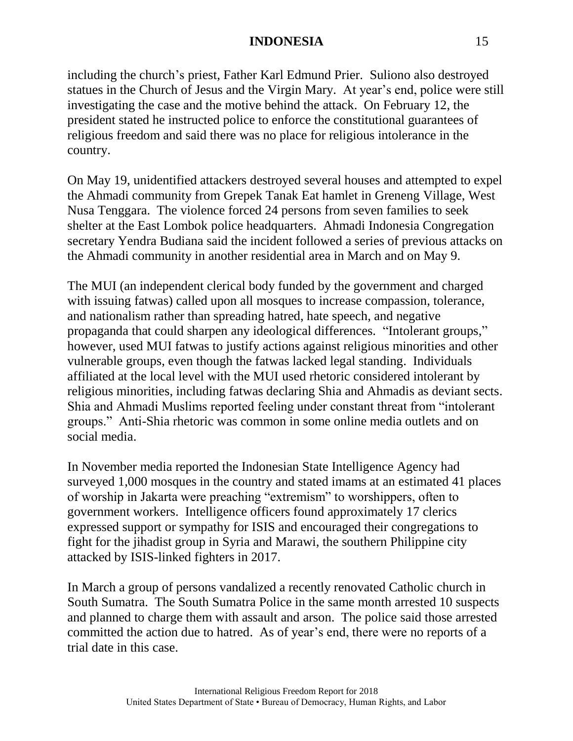including the church's priest, Father Karl Edmund Prier. Suliono also destroyed statues in the Church of Jesus and the Virgin Mary. At year's end, police were still investigating the case and the motive behind the attack. On February 12, the president stated he instructed police to enforce the constitutional guarantees of religious freedom and said there was no place for religious intolerance in the country.

On May 19, unidentified attackers destroyed several houses and attempted to expel the Ahmadi community from Grepek Tanak Eat hamlet in Greneng Village, West Nusa Tenggara. The violence forced 24 persons from seven families to seek shelter at the East Lombok police headquarters. Ahmadi Indonesia Congregation secretary Yendra Budiana said the incident followed a series of previous attacks on the Ahmadi community in another residential area in March and on May 9.

The MUI (an independent clerical body funded by the government and charged with issuing fatwas) called upon all mosques to increase compassion, tolerance, and nationalism rather than spreading hatred, hate speech, and negative propaganda that could sharpen any ideological differences. "Intolerant groups," however, used MUI fatwas to justify actions against religious minorities and other vulnerable groups, even though the fatwas lacked legal standing. Individuals affiliated at the local level with the MUI used rhetoric considered intolerant by religious minorities, including fatwas declaring Shia and Ahmadis as deviant sects. Shia and Ahmadi Muslims reported feeling under constant threat from "intolerant groups." Anti-Shia rhetoric was common in some online media outlets and on social media.

In November media reported the Indonesian State Intelligence Agency had surveyed 1,000 mosques in the country and stated imams at an estimated 41 places of worship in Jakarta were preaching "extremism" to worshippers, often to government workers. Intelligence officers found approximately 17 clerics expressed support or sympathy for ISIS and encouraged their congregations to fight for the jihadist group in Syria and Marawi, the southern Philippine city attacked by ISIS-linked fighters in 2017.

In March a group of persons vandalized a recently renovated Catholic church in South Sumatra. The South Sumatra Police in the same month arrested 10 suspects and planned to charge them with assault and arson. The police said those arrested committed the action due to hatred. As of year's end, there were no reports of a trial date in this case.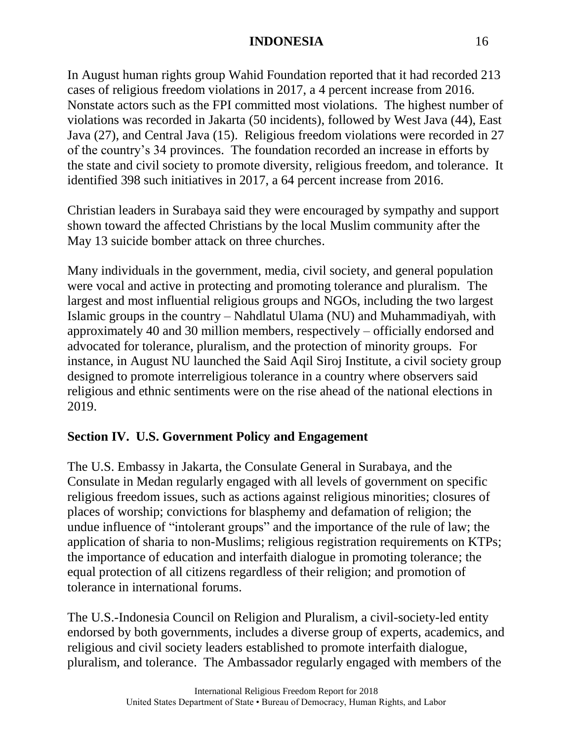In August human rights group Wahid Foundation reported that it had recorded 213 cases of religious freedom violations in 2017, a 4 percent increase from 2016. Nonstate actors such as the FPI committed most violations. The highest number of violations was recorded in Jakarta (50 incidents), followed by West Java (44), East Java (27), and Central Java (15). Religious freedom violations were recorded in 27 of the country's 34 provinces. The foundation recorded an increase in efforts by the state and civil society to promote diversity, religious freedom, and tolerance. It identified 398 such initiatives in 2017, a 64 percent increase from 2016.

Christian leaders in Surabaya said they were encouraged by sympathy and support shown toward the affected Christians by the local Muslim community after the May 13 suicide bomber attack on three churches.

Many individuals in the government, media, civil society, and general population were vocal and active in protecting and promoting tolerance and pluralism. The largest and most influential religious groups and NGOs, including the two largest Islamic groups in the country – Nahdlatul Ulama (NU) and Muhammadiyah, with approximately 40 and 30 million members, respectively – officially endorsed and advocated for tolerance, pluralism, and the protection of minority groups. For instance, in August NU launched the Said Aqil Siroj Institute, a civil society group designed to promote interreligious tolerance in a country where observers said religious and ethnic sentiments were on the rise ahead of the national elections in 2019.

# **Section IV. U.S. Government Policy and Engagement**

The U.S. Embassy in Jakarta, the Consulate General in Surabaya, and the Consulate in Medan regularly engaged with all levels of government on specific religious freedom issues, such as actions against religious minorities; closures of places of worship; convictions for blasphemy and defamation of religion; the undue influence of "intolerant groups" and the importance of the rule of law; the application of sharia to non-Muslims; religious registration requirements on KTPs; the importance of education and interfaith dialogue in promoting tolerance; the equal protection of all citizens regardless of their religion; and promotion of tolerance in international forums.

The U.S.-Indonesia Council on Religion and Pluralism, a civil-society-led entity endorsed by both governments, includes a diverse group of experts, academics, and religious and civil society leaders established to promote interfaith dialogue, pluralism, and tolerance. The Ambassador regularly engaged with members of the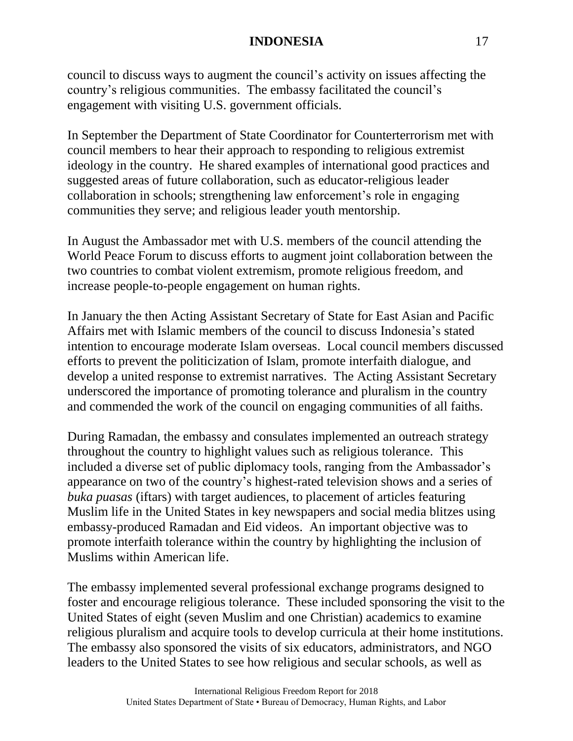council to discuss ways to augment the council's activity on issues affecting the country's religious communities. The embassy facilitated the council's engagement with visiting U.S. government officials.

In September the Department of State Coordinator for Counterterrorism met with council members to hear their approach to responding to religious extremist ideology in the country. He shared examples of international good practices and suggested areas of future collaboration, such as educator-religious leader collaboration in schools; strengthening law enforcement's role in engaging communities they serve; and religious leader youth mentorship.

In August the Ambassador met with U.S. members of the council attending the World Peace Forum to discuss efforts to augment joint collaboration between the two countries to combat violent extremism, promote religious freedom, and increase people-to-people engagement on human rights.

In January the then Acting Assistant Secretary of State for East Asian and Pacific Affairs met with Islamic members of the council to discuss Indonesia's stated intention to encourage moderate Islam overseas. Local council members discussed efforts to prevent the politicization of Islam, promote interfaith dialogue, and develop a united response to extremist narratives. The Acting Assistant Secretary underscored the importance of promoting tolerance and pluralism in the country and commended the work of the council on engaging communities of all faiths.

During Ramadan, the embassy and consulates implemented an outreach strategy throughout the country to highlight values such as religious tolerance. This included a diverse set of public diplomacy tools, ranging from the Ambassador's appearance on two of the country's highest-rated television shows and a series of *buka puasas* (iftars) with target audiences, to placement of articles featuring Muslim life in the United States in key newspapers and social media blitzes using embassy-produced Ramadan and Eid videos. An important objective was to promote interfaith tolerance within the country by highlighting the inclusion of Muslims within American life.

The embassy implemented several professional exchange programs designed to foster and encourage religious tolerance. These included sponsoring the visit to the United States of eight (seven Muslim and one Christian) academics to examine religious pluralism and acquire tools to develop curricula at their home institutions. The embassy also sponsored the visits of six educators, administrators, and NGO leaders to the United States to see how religious and secular schools, as well as